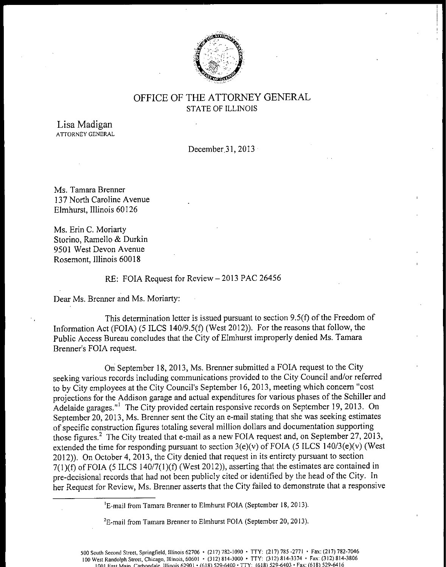

# OFFICE OF THE ATTORNEY GENERAL STATE OF ILLINOIS

Lisa Madigan ATTORNEY GENERAL

December.31, 2013

Ms. Tamara Brenner 137 North Caroline Avenue Elmhurst, Illinois 60126

Ms. Erin C. Moriarty Storino, Ramello & Durkin 9501 West Devon Avenue Rosemont, Illinois 60018

## RE: FOIA Request for Review—2013 PAC 26456

Dear Ms. Brenner and Ms. Moriarty:

This determination letter is issued pursuant to section  $9.5(f)$  of the Freedom of Information Act (FOIA) (5 ILCS 140/9.5(f) (West 2012)). For the reasons that follow, the Public Access Bureau concludes that the City of Elmhurst improperly denied Ms. Tamara Brenner's FOIA request.

On September 18, 2013, Ms. Brenner submitted a FOIA request to the City seeking various records including communications provided to the City Council and/or referred to by City employees at the City Council's September 16, 2013, meeting which concern "cost projections for the Addison garage and actual expenditures for various phases of the Schiller and Adelaide garages.<sup>"1</sup> The City provided certain responsive records on September 19, 2013. On September 20, 2013, Ms. Brenner sent the City an e- mail stating that she was seeking estimates of specific construction figures totaling several million dollars and documentation supporting those figures.<sup>2</sup> The City treated that e-mail as a new FOIA request and, on September 27, 2013, extended the time for responding pursuant to section  $3(e)(v)$  of FOIA (5 ILCS 140/3 $(e)(v)$ ) (West 2012)). On October 4, 2013, the City denied that request in its entirety pursuant to section  $7(1)(f)$  of FOIA (5 ILCS 140/7(1)(f) (West 2012)), asserting that the estimates are contained in pre- decisional records that had not been publicly cited or identified by the head of the City. In her Request for Review, Ms. Brenner asserts that the City failed to demonstrate that a responsive

<sup>1</sup>E-mail from Tamara Brenner to Elmhurst FOIA (September 18, 2013).

<sup>2</sup>E-mail from Tamara Brenner to Elmhurst FOIA (September 20, 2013).

500 South Second Street, Springfield, Illinois 62706 • ( 217) 782- 1090 • TTY: ( 217) 785- 2771 • Fax:( 217) 782- 7046 100 West Randolph Street, Chicago, Illinois, 60601 • ( 312) 814- 3000 • TTY: ( 312) 814-3374 • Fax:( 312) 814- 3806 Inn] Fact Main Carhnndale. Illinois 62901 •( 618) 529- 6400• TTY: ( 618) 529- 6403• Fax:( 618) 529- 6416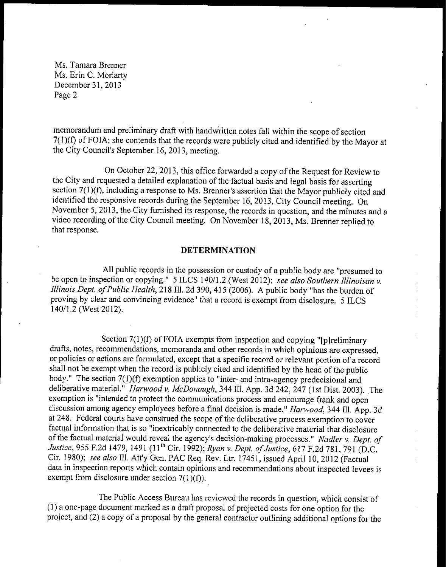Ms. Tamara Brenner Ms. Erin C. Moriarty December 31, 2013 Page 2

memorandum and preliminary draft with handwritten notes fall within the scope of section 7(1)(f) of FOIA; she contends that the records were publicly cited and identified by the Mayor at the City Council's September 16, 2013, meeting.

On October 22, 2013, this office forwarded <sup>a</sup> copy of the Request for Review to the City and requested <sup>a</sup> detailed explanation of the factual basis and legal basis for asserting section 7(1)(f), including a response to Ms. Brenner's assertion that the Mayor publicly cited and identified the responsive records during the September 16, 2013, City Council meeting. On November 5, 2013, the City furnished its response, the records in question, and the minutes and a video recording of the City Council meeting. On November 18, 2013, Ms. Brenner replied to that response.

### DETERMINATION

All public records in the possession or custody of <sup>a</sup> public body are " presumed to be open to inspection or copying." 5 ILCS 140/1.2 (West 2012); see also Southern Illinoisan v. Illinois Dept. of Public Health, 218 Ill. 2d 390, 415 (2006). A public body "has the burden of proving by clear and convincing evidence" that a record is exempt from disclosure. 5 ILCS 140/1.2 (West 2012).

Section  $7(1)(f)$  of FOIA exempts from inspection and copying "[p]reliminary drafts, notes, recommendations, memoranda and other records in which opinions are expressed, or policies or actions are formulated, except that <sup>a</sup> specific record or relevant portion of <sup>a</sup> record shall not be exempt when the record is publicly cited and identified by the head of the public body." The section  $7(1)(f)$  exemption applies to "inter- and intra-agency predecisional and deliberative material." Harwood v. McDonough, 344 Ill. App. 3d 242, 247 (1st Dist. 2003). The exemption is "intended to protect the communications process and encourage frank and open discussion among agency employees before a final decision is made." Harwood, 344 Ill. App. 3d at 248. Federal courts have construed the scope of the deliberative process exemption to cover factual information that is so "inextricably connected to the deliberative material that disclosure of the factual material would reveal the agency's decision-making processes." Nadler v. Dept. of Justice, 955 F.2d 1479, 1491 (11<sup>th</sup> Cir. 1992); Ryan v. Dept. of Justice, 617 F.2d 781, 791 (D.C. Cir. 1980); see also Ill. Att'y Gen. PAC Req. Rev. Ltr. 17451, issued April 10, 2012 (Factual data in inspection reports which contain opinions and recommendations about inspected levees is exempt from disclosure under section  $7(1)(f)$ .

The Public Access Bureau has reviewed the records in question, which consist of 1) a one- page document marked as a draft proposal of projected costs for one option for the project, and (2) a copy of a proposal by the general contractor outlining additional options for the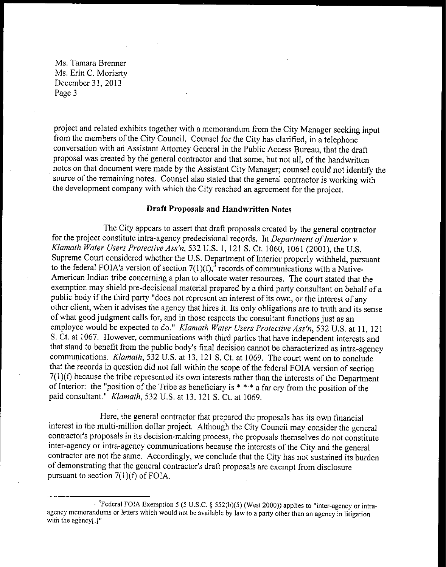Ms. Tamara Brenner Ms. Erin C. Moriarty December 31, 2013 Page 3

project and related exhibits together with a memorandum from the City Manager seeking input from the members of the City Council. Counsel for the City has clarified, in <sup>a</sup> telephone conversation with an Assistant Attorney General in the Public Access Bureau, that the draft proposal was created by the general contractor and that some, but not all, of the handwritten notes on that document were made by the Assistant City Manager; counsel could not identify the source of the remaining notes. Counsel also stated that the general contractor is working with the development company with which the City reached an agreement for the project.

### Draft Proposals and Handwritten Notes

The City appears to assert that draft proposals created by the general contractor for the project constitute intra-agency predecisional records. In Department of Interior  $v$ . Klamath Water Users Protective Ass'n, 532 U.S. 1, 121 S. Ct. 1060, 1061 (2001), the U.S. Supreme Court considered whether the U.S. Department of Interior properly withheld, pursuant to the federal FOIA's version of section  $7(1)(f)$ , records of communications with a Native-American Indian tribe concerning a plan to allocate water resources. The court stated that the exemption may shield pre-decisional material prepared by <sup>a</sup> third party consultant on behalf of <sup>a</sup> public body if the third party "does not represent an interest of its own, or the interest of any other client, when it advises the agency that hires it. Its only obligations are to truth and its sense of what good judgment calls for, and in those respects the consultant functions just as an employee would be expected to do." Klamath Water Users Protective Ass'n, 532 U.S. at 11, 121 S. Ct. at 1067. However, communications with third parties that have independent interests and that stand to benefit from the public body's final decision cannot be characterized as intra-agency communications. Klamath, 532 U.S. at 13, 121 S. Ct. at 1069. The court went on to conclude that the records in question did not fall within the scope of the federal FOIA version of section  $7(1)(f)$  because the tribe represented its own interests rather than the interests of the Department of Interior: the "position of the Tribe as beneficiary is  $* * * a$  far cry from the position of the paid consultant." Klamath, 532 U. S. at 13, 121 S. Ct. at 1069.

Here, the general contractor that prepared the proposals has its own financial interest in the multi-million dollar project. Although the City Council may consider the general contractor's proposals in its decision- making process, the proposals themselves do not constitute inter- agency or intra-agency communications because the interests of the City and the general contractor are not the same. Accordingly, we conclude that the City has not sustained its burden of demonstrating that the general contractor's draft proposals are exempt from disclosure pursuant to section  $7(1)(f)$  of FOIA.

<sup>&</sup>lt;sup>3</sup> Federal FOIA Exemption 5 (5 U.S.C. § 552(b)(5) (West 2000)) applies to "inter-agency or intraagency memorandums or letters which would not be available by law to <sup>a</sup> party other than an agency in litigation with the agency[.]"